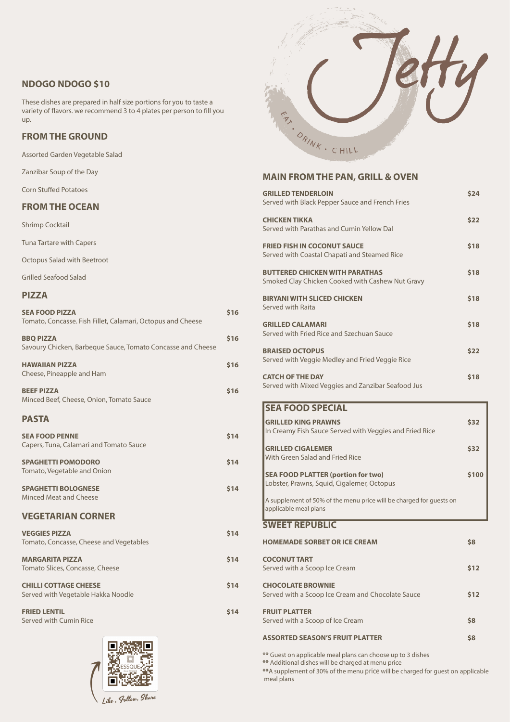# **NDOGO NDOGO \$10**

These dishes are prepared in half size portions for you to taste a variety of flavors. we recommend 3 to 4 plates per person to fill you up.

# **FROM THE GROUND**

Assorted Garden Vegetable Salad

Zanzibar Soup of the Day

Corn Stuffed Potatoes

## **FROM THE OCEAN**

Shrimp Cocktail

Tuna Tartare with Capers

Octopus Salad with Beetroot

Grilled Seafood Salad

#### **PIZZA**

| <b>SEA FOOD PIZZA</b><br>Tomato, Concasse. Fish Fillet, Calamari, Octopus and Cheese | <b>\$16</b> |
|--------------------------------------------------------------------------------------|-------------|
| <b>BBQ PIZZA</b><br>Savoury Chicken, Barbeque Sauce, Tomato Concasse and Cheese      | \$16        |
| <b>HAWAIIAN PIZZA</b><br>Cheese, Pineapple and Ham                                   | \$16        |
| <b>BEEF PIZZA</b><br>Minced Beef, Cheese, Onion, Tomato Sauce                        | <b>\$16</b> |
| <b>PASTA</b>                                                                         |             |
| <b>SEA FOOD PENNE</b><br>Capers, Tuna, Calamari and Tomato Sauce                     | \$14        |
| <b>SPAGHETTI POMODORO</b><br>Tomato, Vegetable and Onion                             | \$14        |
| <b>SPAGHETTI BOLOGNESE</b><br><b>Minced Meat and Cheese</b>                          | \$14        |
| <b>VEGETARIAN CORNER</b>                                                             |             |
| <b>VEGGIES PIZZA</b>                                                                 | \$14        |



Tomato, Concasse, Cheese and Vegetables

**MARGARITA PIZZA**  Tomato Slices, Concasse, Cheese

**CHILLI COTTAGE CHEESE** Served with Vegetable Hakka Noodle

**FRIED LENTIL**  Served with Cumin Rice



**\$14**

**\$14**

#### **MAIN FROM THE PAN, GRILL & OVEN**

| <b>GRILLED TENDERLOIN</b><br>Served with Black Pepper Sauce and French Fries                 | \$24        |
|----------------------------------------------------------------------------------------------|-------------|
| <b>CHICKEN TIKKA</b><br>Served with Parathas and Cumin Yellow Dal                            | \$22        |
| <b>FRIED FISH IN COCONUT SAUCE</b><br>Served with Coastal Chapati and Steamed Rice           | \$18        |
| <b>BUTTERED CHICKEN WITH PARATHAS</b><br>Smoked Clay Chicken Cooked with Cashew Nut Gravy    | \$18        |
| <b>BIRYANI WITH SLICED CHICKEN</b><br>Served with Raita                                      | \$18        |
| <b>GRILLED CALAMARI</b><br>Served with Fried Rice and Szechuan Sauce                         | \$18        |
| <b>BRAISED OCTOPUS</b><br>Served with Veggie Medley and Fried Veggie Rice                    | \$22        |
| <b>CATCH OF THE DAY</b><br>Served with Mixed Veggies and Zanzibar Seafood Jus                | \$18        |
| <b>SEA FOOD SPECIAL</b>                                                                      |             |
| <b>GRILLED KING PRAWNS</b><br>In Creamy Fish Sauce Served with Veggies and Fried Rice        | <b>\$32</b> |
| <b>GRILLED CIGALEMER</b><br><b>With Green Salad and Fried Rice</b>                           | \$32        |
| <b>SEA FOOD PLATTER (portion for two)</b><br>Lobster, Prawns, Squid, Cigalemer, Octopus      | S100        |
| A supplement of 50% of the menu price will be charged for guests on<br>applicable meal plans |             |

**\$14 FRUIT PLATTER**  Served with a Scoop of Ice Cream

# **SWEET REPUBLIC**

**HOMEMADE SORBET OR ICE CREAM** 

| <b>COCONUT TART</b>           |
|-------------------------------|
| Served with a Scoop Ice Cream |

**CHOCOLATE BROWNIE**  Served with a Scoop Ice Cream and Chocolate Sauce **\$12**

#### **ASSORTED SEASON'S FRUIT PLATTER**

**\$12**

**\$8**

**\$8**

**\*\*** Guest on applicable meal plans can choose up to 3 dishes **\*\*** Additional dishes will be charged at menu price **\*\***A supplement of 30% of the menu price will be charged for guest on applicable meal plans